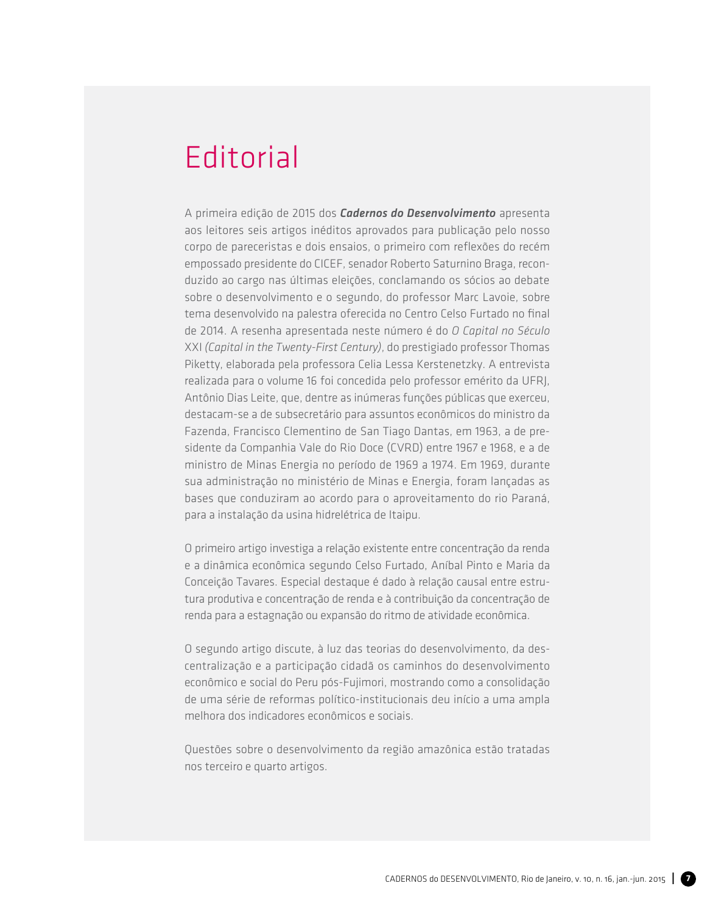## **Editorial**

A primeira edição de 2015 dos *Cadernos do Desenvolvimento* apresenta aos leitores seis artigos inéditos aprovados para publicação pelo nosso corpo de pareceristas e dois ensaios, o primeiro com reflexões do recém empossado presidente do CICEF, senador Roberto Saturnino Braga, reconduzido ao cargo nas últimas eleições, conclamando os sócios ao debate sobre o desenvolvimento e o segundo, do professor Marc Lavoie, sobre tema desenvolvido na palestra oferecida no Centro Celso Furtado no final de 2014. A resenha apresentada neste número é do *O Capital no Século*  xxi *(Capital in the Twenty-First Century)*, do prestigiado professor Thomas Piketty, elaborada pela professora Celia Lessa Kerstenetzky. A entrevista realizada para o volume 16 foi concedida pelo professor emérito da UFRJ, Antônio Dias Leite, que, dentre as inúmeras funções públicas que exerceu, destacam-se a de subsecretário para assuntos econômicos do ministro da Fazenda, Francisco Clementino de San Tiago Dantas, em 1963, a de presidente da Companhia Vale do Rio Doce (CVRD) entre 1967 e 1968, e a de ministro de Minas Energia no período de 1969 a 1974. Em 1969, durante sua administração no ministério de Minas e Energia, foram lançadas as bases que conduziram ao acordo para o aproveitamento do rio Paraná, para a instalação da usina hidrelétrica de Itaipu.

O primeiro artigo investiga a relação existente entre concentração da renda e a dinâmica econômica segundo Celso Furtado, Aníbal Pinto e Maria da Conceição Tavares. Especial destaque é dado à relação causal entre estrutura produtiva e concentração de renda e à contribuição da concentração de renda para a estagnação ou expansão do ritmo de atividade econômica.

O segundo artigo discute, à luz das teorias do desenvolvimento, da descentralização e a participação cidadã os caminhos do desenvolvimento econômico e social do Peru pós-Fujimori, mostrando como a consolidação de uma série de reformas político-institucionais deu início a uma ampla melhora dos indicadores econômicos e sociais.

Questões sobre o desenvolvimento da região amazônica estão tratadas nos terceiro e quarto artigos.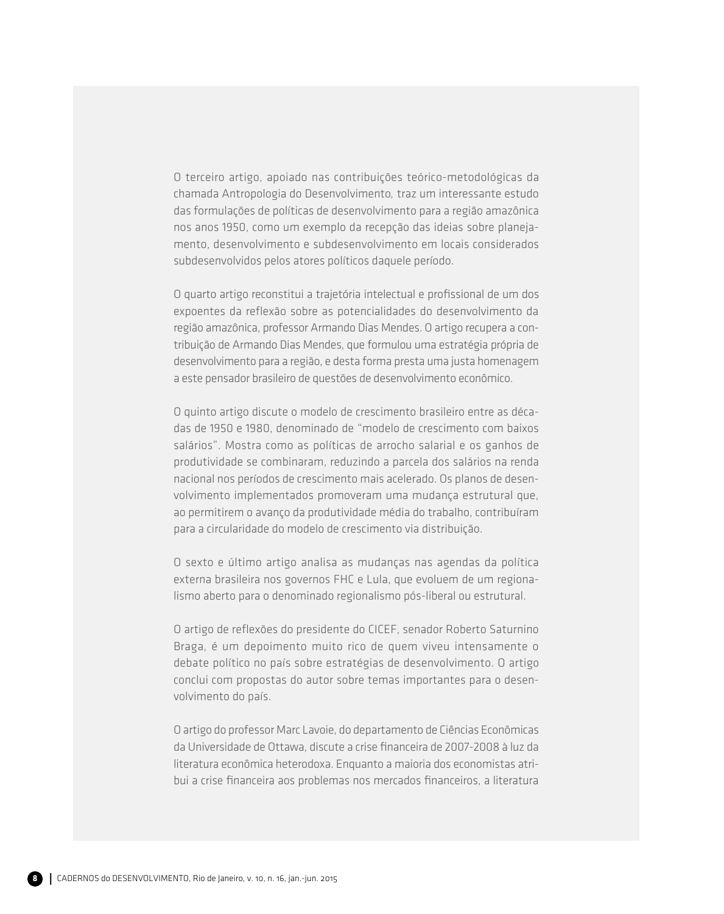O terceiro artigo, apoiado nas contribuições teórico-metodológicas da chamada Antropologia do Desenvolvimento*,* traz um interessante estudo das formulações de políticas de desenvolvimento para a região amazônica nos anos 1950, como um exemplo da recepção das ideias sobre planejamento, desenvolvimento e subdesenvolvimento em locais considerados subdesenvolvidos pelos atores políticos daquele período.

O quarto artigo reconstitui a trajetória intelectual e profissional de um dos expoentes da reflexão sobre as potencialidades do desenvolvimento da região amazônica, professor Armando Dias Mendes. O artigo recupera a contribuição de Armando Dias Mendes, que formulou uma estratégia própria de desenvolvimento para a região, e desta forma presta uma justa homenagem a este pensador brasileiro de questões de desenvolvimento econômico.

O quinto artigo discute o modelo de crescimento brasileiro entre as décadas de 1950 e 1980, denominado de "modelo de crescimento com baixos salários". Mostra como as políticas de arrocho salarial e os ganhos de produtividade se combinaram, reduzindo a parcela dos salários na renda nacional nos períodos de crescimento mais acelerado. Os planos de desenvolvimento implementados promoveram uma mudança estrutural que, ao permitirem o avanço da produtividade média do trabalho, contribuíram para a circularidade do modelo de crescimento via distribuição.

O sexto e último artigo analisa as mudanças nas agendas da política externa brasileira nos governos FHC e Lula, que evoluem de um regionalismo aberto para o denominado regionalismo pós-liberal ou estrutural.

O artigo de reflexões do presidente do CICEF, senador Roberto Saturnino Braga, é um depoimento muito rico de quem viveu intensamente o debate político no país sobre estratégias de desenvolvimento. O artigo conclui com propostas do autor sobre temas importantes para o desenvolvimento do país.

O artigo do professor Marc Lavoie, do departamento de Ciências Econômicas da Universidade de Ottawa, discute a crise financeira de 2007-2008 à luz da literatura econômica heterodoxa. Enquanto a maioria dos economistas atribui a crise financeira aos problemas nos mercados financeiros, a literatura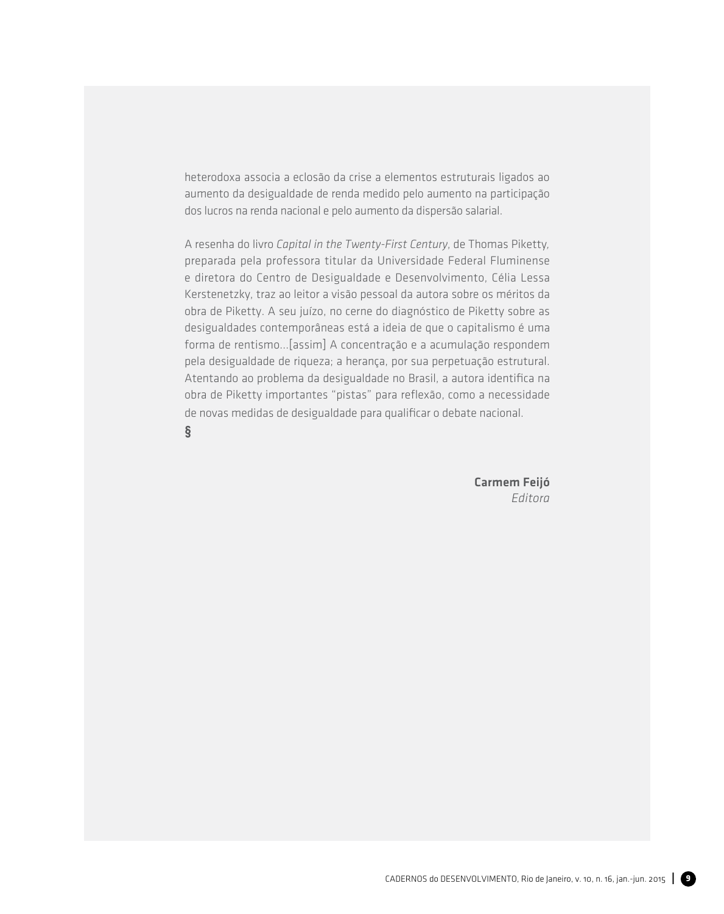heterodoxa associa a eclosão da crise a elementos estruturais ligados ao aumento da desigualdade de renda medido pelo aumento na participação dos lucros na renda nacional e pelo aumento da dispersão salarial.

A resenha do livro *Capital in the Twenty-First Century*, de Thomas Piketty*,* preparada pela professora titular da Universidade Federal Fluminense e diretora do Centro de Desigualdade e Desenvolvimento, Célia Lessa Kerstenetzky, traz ao leitor a visão pessoal da autora sobre os méritos da obra de Piketty. A seu juízo, no cerne do diagnóstico de Piketty sobre as desigualdades contemporâneas está a ideia de que o capitalismo é uma forma de rentismo...[assim] A concentração e a acumulação respondem pela desigualdade de riqueza; a herança, por sua perpetuação estrutural. Atentando ao problema da desigualdade no Brasil, a autora identifica na obra de Piketty importantes "pistas" para reflexão, como a necessidade de novas medidas de desigualdade para qualificar o debate nacional.

**§**

Carmem Feijó *Editora*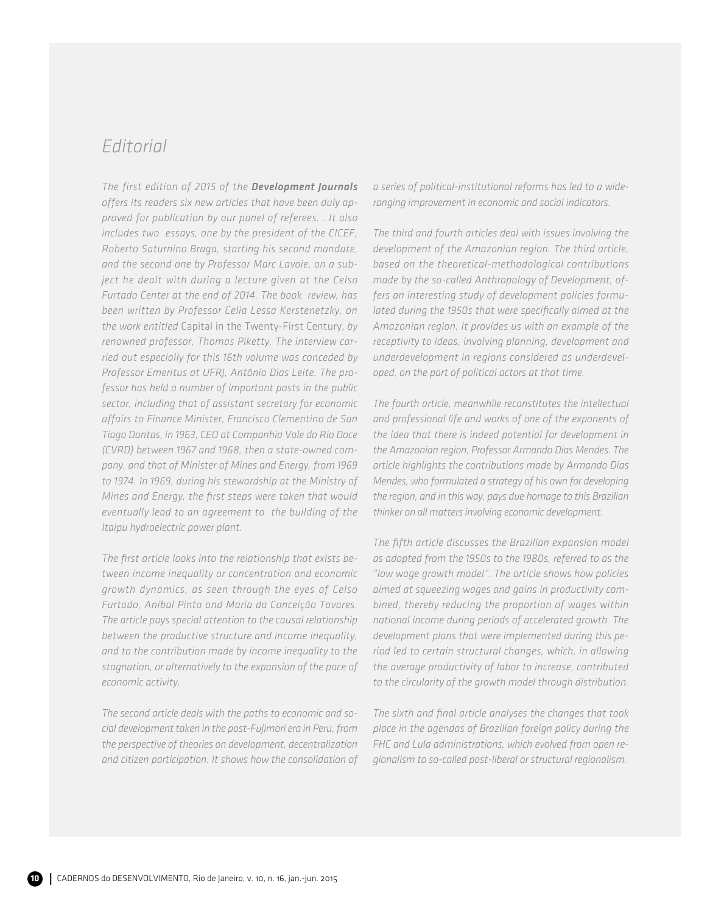## *Editorial*

*The first edition of 2015 of the Development Journals offers its readers six new articles that have been duly approved for publication by our panel of referees. . It also includes two essays, one by the president of the CICEF, Roberto Saturnino Braga, starting his second mandate, and the second one by Professor Marc Lavoie, on a subject he dealt with during a lecture given at the Celso Furtado Center at the end of 2014. The book review, has been written by Professor Celia Lessa Kerstenetzky, on the work entitled* Capital in the Twenty-First Century, *by renowned professor, Thomas Piketty. The interview carried out especially for this 16th volume was conceded by Professor Emeritus at UFRJ, Antônio Dias Leite. The professor has held a number of important posts in the public sector, including that of assistant secretary for economic affairs to Finance Minister, Francisco Clementino de San Tiago Dantas, in 1963, CEO at Companhia Vale do Rio Doce (CVRD) between 1967 and 1968, then a state-owned company, and that of Minister of Mines and Energy, from 1969 to 1974. In 1969, during his stewardship at the Ministry of Mines and Energy, the first steps were taken that would eventually lead to an agreement to the building of the Itaipu hydroelectric power plant.* 

*The first article looks into the relationship that exists between income inequality or concentration and economic growth dynamics, as seen through the eyes of Celso Furtado, Aníbal Pinto and Maria da Conceição Tavares. The article pays special attention to the causal relationship between the productive structure and income inequality, and to the contribution made by income inequality to the stagnation, or alternatively to the expansion of the pace of economic activity.* 

*The second article deals with the paths to economic and social development taken in the post-Fujimori era in Peru, from the perspective of theories on development, decentralization and citizen participation. It shows how the consolidation of*  *a series of political-institutional reforms has led to a wideranging improvement in economic and social indicators.* 

*The third and fourth articles deal with issues involving the development of the Amazonian region. The third article, based on the theoretical-methodological contributions made by the so-called Anthropology of Development, offers an interesting study of development policies formulated during the 1950s that were specifically aimed at the Amazonian region. It provides us with an example of the receptivity to ideas, involving planning, development and underdevelopment in regions considered as underdeveloped, on the part of political actors at that time.* 

*The fourth article, meanwhile reconstitutes the intellectual and professional life and works of one of the exponents of the idea that there is indeed potential for development in the Amazonian region, Professor Armando Dias Mendes. The article highlights the contributions made by Armando Dias Mendes, who formulated a strategy of his own for developing the region, and in this way, pays due homage to this Brazilian thinker on all matters involving economic development.* 

*The fifth article discusses the Brazilian expansion model as adopted from the 1950s to the 1980s, referred to as the "low wage growth model". The article shows how policies aimed at squeezing wages and gains in productivity combined, thereby reducing the proportion of wages within national income during periods of accelerated growth. The development plans that were implemented during this period led to certain structural changes, which, in allowing the average productivity of labor to increase, contributed to the circularity of the growth model through distribution.* 

*The sixth and final article analyses the changes that took place in the agendas of Brazilian foreign policy during the FHC and Lula administrations, which evolved from open regionalism to so-called post-liberal or structural regionalism.*